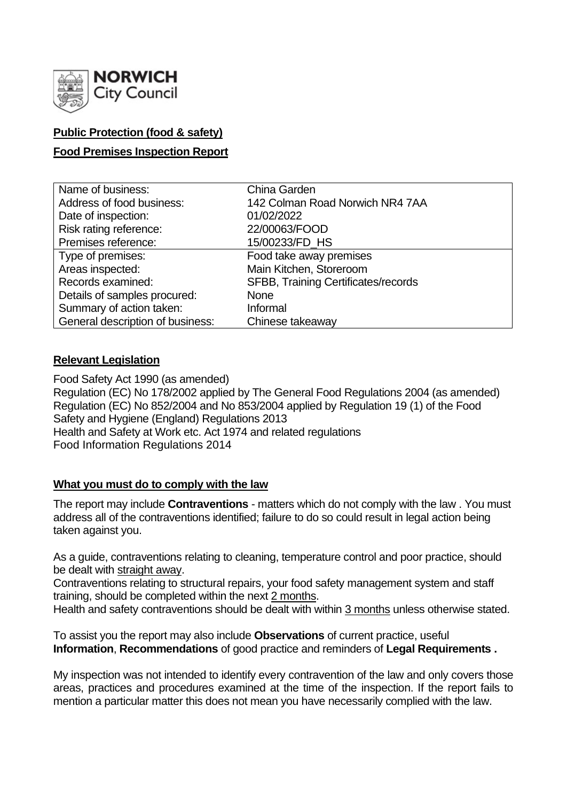

# **Public Protection (food & safety)**

# **Food Premises Inspection Report**

| Name of business:                | China Garden                        |
|----------------------------------|-------------------------------------|
| Address of food business:        | 142 Colman Road Norwich NR4 7AA     |
| Date of inspection:              | 01/02/2022                          |
| Risk rating reference:           | 22/00063/FOOD                       |
| Premises reference:              | 15/00233/FD_HS                      |
| Type of premises:                | Food take away premises             |
| Areas inspected:                 | Main Kitchen, Storeroom             |
| Records examined:                | SFBB, Training Certificates/records |
| Details of samples procured:     | <b>None</b>                         |
| Summary of action taken:         | Informal                            |
| General description of business: | Chinese takeaway                    |

### **Relevant Legislation**

Food Safety Act 1990 (as amended) Regulation (EC) No 178/2002 applied by The General Food Regulations 2004 (as amended) Regulation (EC) No 852/2004 and No 853/2004 applied by Regulation 19 (1) of the Food Safety and Hygiene (England) Regulations 2013 Health and Safety at Work etc. Act 1974 and related regulations Food Information Regulations 2014

### **What you must do to comply with the law**

The report may include **Contraventions** - matters which do not comply with the law . You must address all of the contraventions identified; failure to do so could result in legal action being taken against you.

As a guide, contraventions relating to cleaning, temperature control and poor practice, should be dealt with straight away.

Contraventions relating to structural repairs, your food safety management system and staff training, should be completed within the next 2 months.

Health and safety contraventions should be dealt with within 3 months unless otherwise stated.

To assist you the report may also include **Observations** of current practice, useful **Information**, **Recommendations** of good practice and reminders of **Legal Requirements .**

My inspection was not intended to identify every contravention of the law and only covers those areas, practices and procedures examined at the time of the inspection. If the report fails to mention a particular matter this does not mean you have necessarily complied with the law.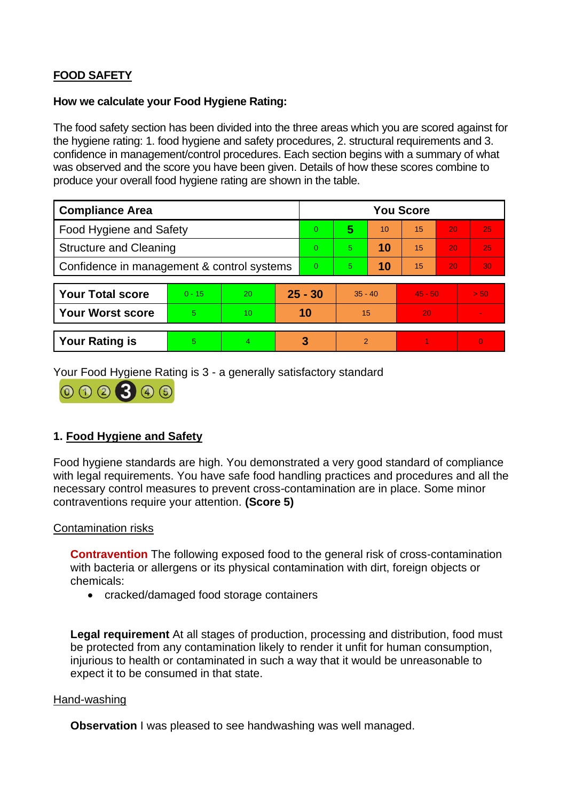# **FOOD SAFETY**

### **How we calculate your Food Hygiene Rating:**

The food safety section has been divided into the three areas which you are scored against for the hygiene rating: 1. food hygiene and safety procedures, 2. structural requirements and 3. confidence in management/control procedures. Each section begins with a summary of what was observed and the score you have been given. Details of how these scores combine to produce your overall food hygiene rating are shown in the table.

| <b>Compliance Area</b>                     |          |                 |           | <b>You Score</b> |               |    |           |    |          |  |
|--------------------------------------------|----------|-----------------|-----------|------------------|---------------|----|-----------|----|----------|--|
| <b>Food Hygiene and Safety</b>             |          |                 |           | 0                | 5             | 10 | 15        | 20 | 25       |  |
| <b>Structure and Cleaning</b>              |          |                 | 0         | 5.               | 10            | 15 | 20        | 25 |          |  |
| Confidence in management & control systems |          |                 | 0         | 5.               | 10            | 15 | 20        | 30 |          |  |
|                                            |          |                 |           |                  |               |    |           |    |          |  |
| <b>Your Total score</b>                    | $0 - 15$ | 20              | $25 - 30$ |                  | $35 - 40$     |    | $45 - 50$ |    | > 50     |  |
| <b>Your Worst score</b>                    | 5        | 10 <sup>°</sup> | 10        |                  | 15            |    | 20        |    |          |  |
|                                            |          |                 |           |                  |               |    |           |    |          |  |
| <b>Your Rating is</b>                      | 5        | 4               |           | 3                | $\mathcal{P}$ |    |           |    | $\Omega$ |  |

Your Food Hygiene Rating is 3 - a generally satisfactory standard



# **1. Food Hygiene and Safety**

Food hygiene standards are high. You demonstrated a very good standard of compliance with legal requirements. You have safe food handling practices and procedures and all the necessary control measures to prevent cross-contamination are in place. Some minor contraventions require your attention. **(Score 5)**

### Contamination risks

**Contravention** The following exposed food to the general risk of cross-contamination with bacteria or allergens or its physical contamination with dirt, foreign objects or chemicals:

• cracked/damaged food storage containers

**Legal requirement** At all stages of production, processing and distribution, food must be protected from any contamination likely to render it unfit for human consumption, injurious to health or contaminated in such a way that it would be unreasonable to expect it to be consumed in that state.

#### Hand-washing

**Observation** I was pleased to see handwashing was well managed.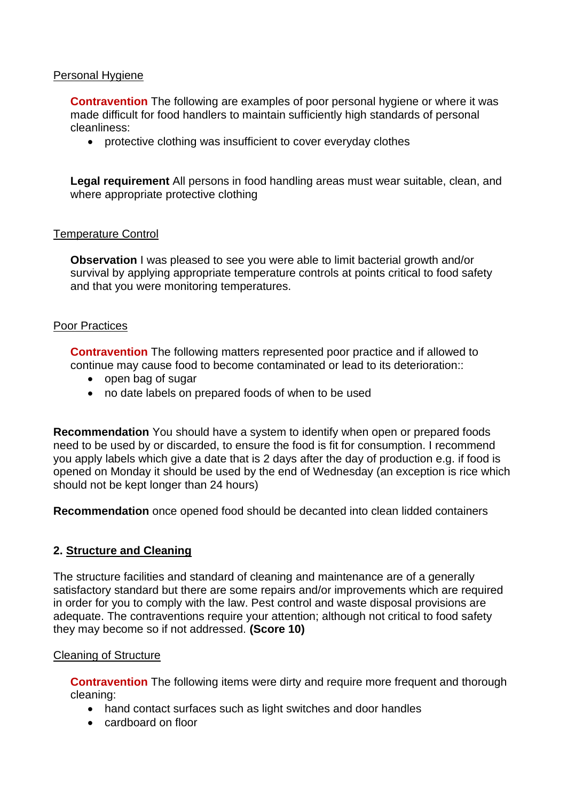### Personal Hygiene

**Contravention** The following are examples of poor personal hygiene or where it was made difficult for food handlers to maintain sufficiently high standards of personal cleanliness:

• protective clothing was insufficient to cover everyday clothes

**Legal requirement** All persons in food handling areas must wear suitable, clean, and where appropriate protective clothing

### Temperature Control

**Observation I** was pleased to see you were able to limit bacterial growth and/or survival by applying appropriate temperature controls at points critical to food safety and that you were monitoring temperatures.

#### Poor Practices

**Contravention** The following matters represented poor practice and if allowed to continue may cause food to become contaminated or lead to its deterioration::

- open bag of sugar
- no date labels on prepared foods of when to be used

**Recommendation** You should have a system to identify when open or prepared foods need to be used by or discarded, to ensure the food is fit for consumption. I recommend you apply labels which give a date that is 2 days after the day of production e.g. if food is opened on Monday it should be used by the end of Wednesday (an exception is rice which should not be kept longer than 24 hours)

**Recommendation** once opened food should be decanted into clean lidded containers

### **2. Structure and Cleaning**

The structure facilities and standard of cleaning and maintenance are of a generally satisfactory standard but there are some repairs and/or improvements which are required in order for you to comply with the law. Pest control and waste disposal provisions are adequate. The contraventions require your attention; although not critical to food safety they may become so if not addressed. **(Score 10)**

#### Cleaning of Structure

**Contravention** The following items were dirty and require more frequent and thorough cleaning:

- hand contact surfaces such as light switches and door handles
- cardboard on floor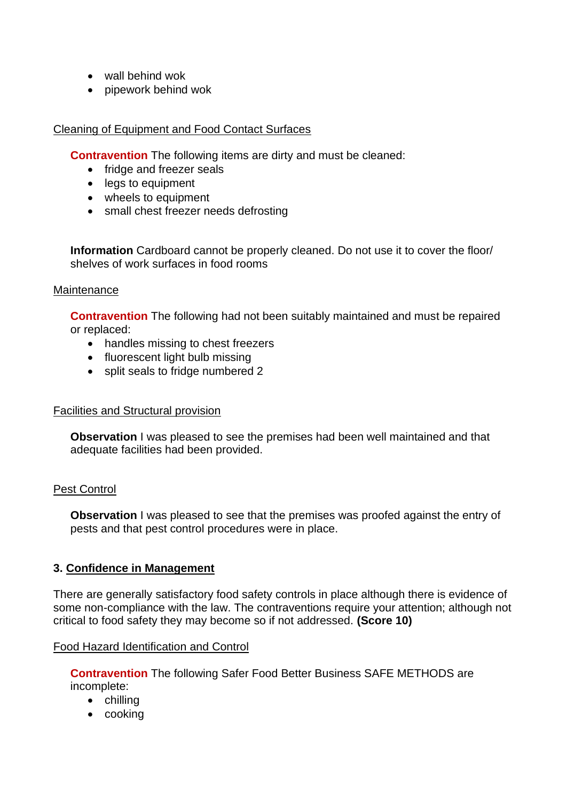- wall behind wok
- pipework behind wok

## Cleaning of Equipment and Food Contact Surfaces

**Contravention** The following items are dirty and must be cleaned:

- fridge and freezer seals
- legs to equipment
- wheels to equipment
- small chest freezer needs defrosting

**Information** Cardboard cannot be properly cleaned. Do not use it to cover the floor/ shelves of work surfaces in food rooms

### **Maintenance**

**Contravention** The following had not been suitably maintained and must be repaired or replaced:

- handles missing to chest freezers
- fluorescent light bulb missing
- split seals to fridge numbered 2

### Facilities and Structural provision

**Observation** I was pleased to see the premises had been well maintained and that adequate facilities had been provided.

### Pest Control

**Observation** I was pleased to see that the premises was proofed against the entry of pests and that pest control procedures were in place.

### **3. Confidence in Management**

There are generally satisfactory food safety controls in place although there is evidence of some non-compliance with the law. The contraventions require your attention; although not critical to food safety they may become so if not addressed. **(Score 10)**

### Food Hazard Identification and Control

**Contravention** The following Safer Food Better Business SAFE METHODS are incomplete:

- chilling
- cooking